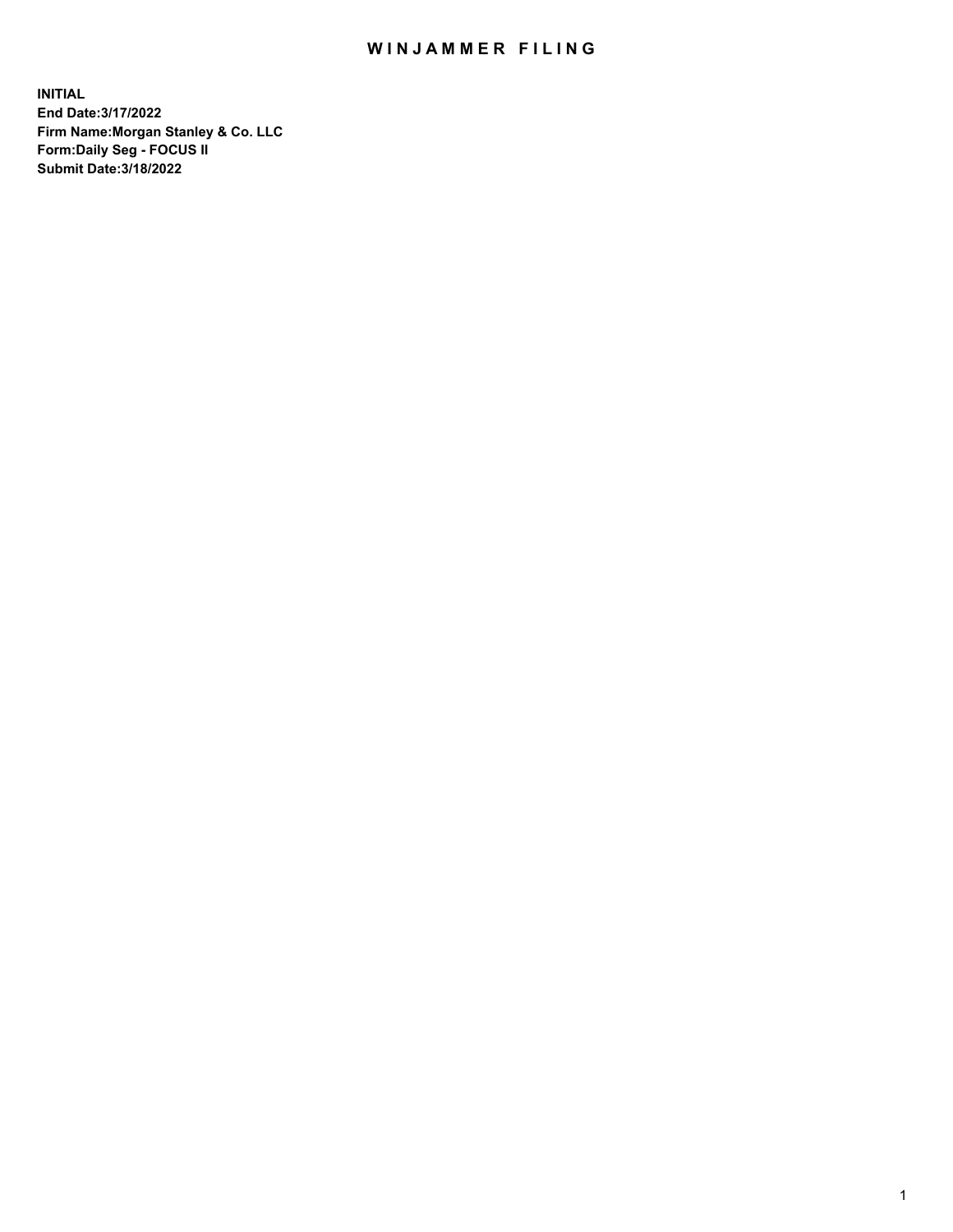## WIN JAMMER FILING

**INITIAL End Date:3/17/2022 Firm Name:Morgan Stanley & Co. LLC Form:Daily Seg - FOCUS II Submit Date:3/18/2022**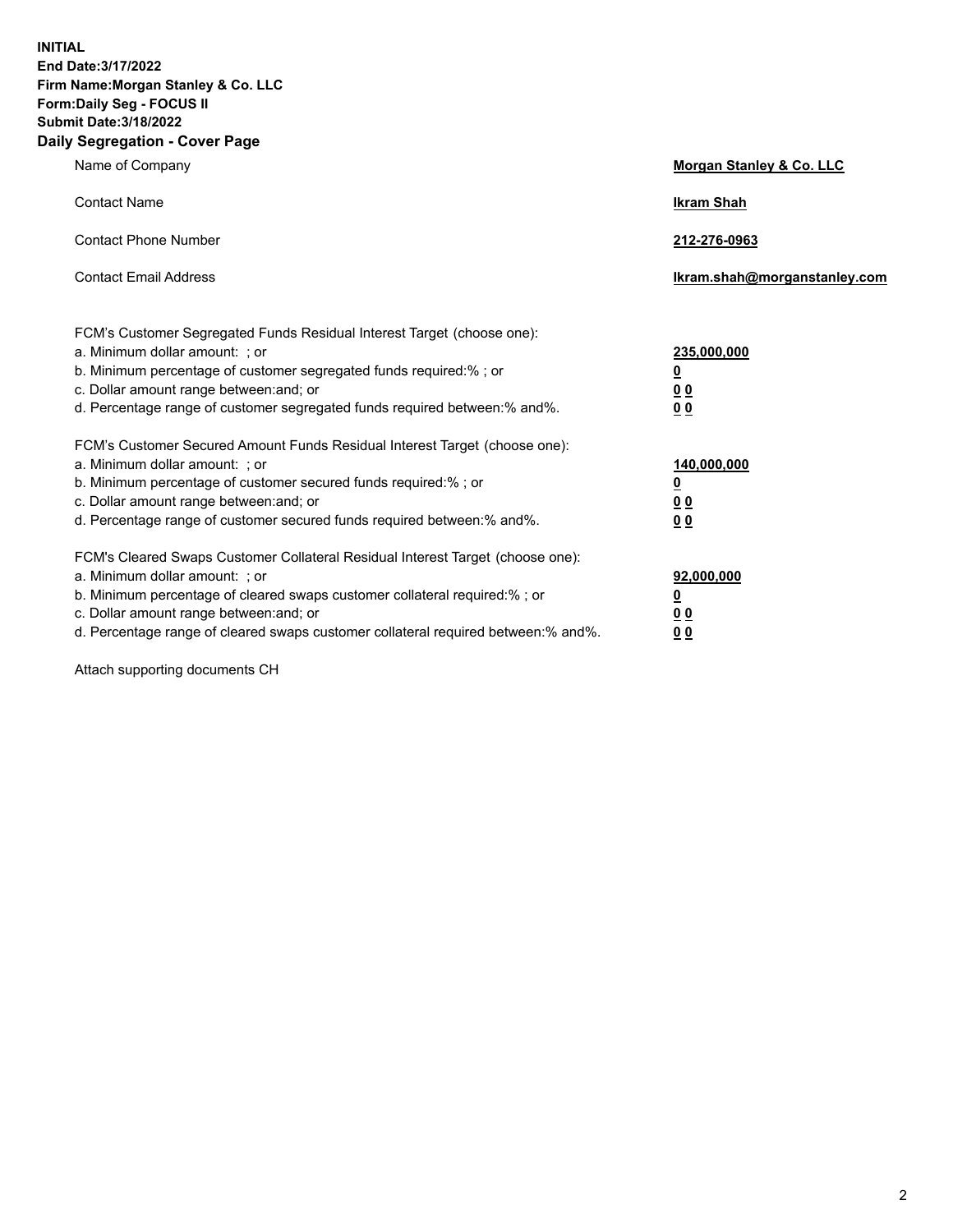**INITIAL End Date:3/17/2022 Firm Name:Morgan Stanley & Co. LLC Form:Daily Seg - FOCUS II Submit Date:3/18/2022 Daily Segregation - Cover Page**

| Name of Company                                                                                                                                                                                                                                                                                                                | Morgan Stanley & Co. LLC                               |
|--------------------------------------------------------------------------------------------------------------------------------------------------------------------------------------------------------------------------------------------------------------------------------------------------------------------------------|--------------------------------------------------------|
| <b>Contact Name</b>                                                                                                                                                                                                                                                                                                            | <b>Ikram Shah</b>                                      |
| <b>Contact Phone Number</b>                                                                                                                                                                                                                                                                                                    | 212-276-0963                                           |
| <b>Contact Email Address</b>                                                                                                                                                                                                                                                                                                   | Ikram.shah@morganstanley.com                           |
| FCM's Customer Segregated Funds Residual Interest Target (choose one):<br>a. Minimum dollar amount: ; or<br>b. Minimum percentage of customer segregated funds required:% ; or<br>c. Dollar amount range between: and; or<br>d. Percentage range of customer segregated funds required between:% and%.                         | 235,000,000<br><u>0</u><br>0 <sup>0</sup><br><u>00</u> |
| FCM's Customer Secured Amount Funds Residual Interest Target (choose one):<br>a. Minimum dollar amount: ; or<br>b. Minimum percentage of customer secured funds required:% ; or<br>c. Dollar amount range between: and; or<br>d. Percentage range of customer secured funds required between:% and%.                           | 140,000,000<br><u>0</u><br><u>00</u><br>00             |
| FCM's Cleared Swaps Customer Collateral Residual Interest Target (choose one):<br>a. Minimum dollar amount: ; or<br>b. Minimum percentage of cleared swaps customer collateral required:% ; or<br>c. Dollar amount range between: and; or<br>d. Percentage range of cleared swaps customer collateral required between:% and%. | 92,000,000<br><u>0</u><br><u>00</u><br>00              |

Attach supporting documents CH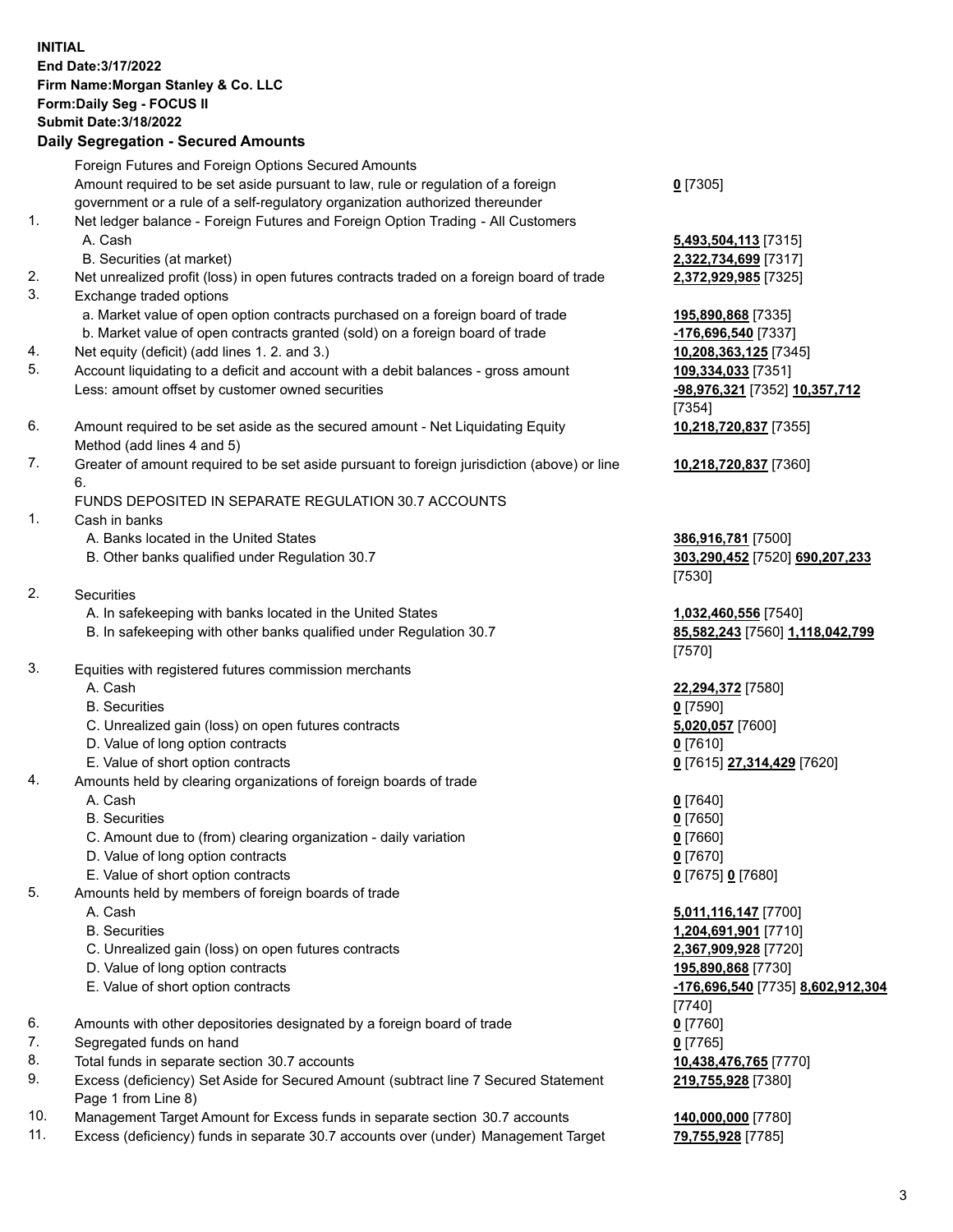## **INITIAL End Date:3/17/2022 Firm Name:Morgan Stanley & Co. LLC Form:Daily Seg - FOCUS II Submit Date:3/18/2022**

## **Daily Segregation - Secured Amounts**

Foreign Futures and Foreign Options Secured Amounts Amount required to be set aside pursuant to law, rule or regulation of a foreign government or a rule of a self-regulatory organization authorized thereunder

- 1. Net ledger balance Foreign Futures and Foreign Option Trading All Customers A. Cash **5,493,504,113** [7315]
	- B. Securities (at market) **2,322,734,699** [7317]
- 2. Net unrealized profit (loss) in open futures contracts traded on a foreign board of trade **2,372,929,985** [7325]
- 3. Exchange traded options
	- a. Market value of open option contracts purchased on a foreign board of trade **195,890,868** [7335]
	- b. Market value of open contracts granted (sold) on a foreign board of trade **-176,696,540** [7337]
- 4. Net equity (deficit) (add lines 1. 2. and 3.) **10,208,363,125** [7345]
- 5. Account liquidating to a deficit and account with a debit balances gross amount **109,334,033** [7351] Less: amount offset by customer owned securities **-98,976,321** [7352] **10,357,712**
- 6. Amount required to be set aside as the secured amount Net Liquidating Equity Method (add lines 4 and 5)
- 7. Greater of amount required to be set aside pursuant to foreign jurisdiction (above) or line 6.

## FUNDS DEPOSITED IN SEPARATE REGULATION 30.7 ACCOUNTS

- 1. Cash in banks
	- A. Banks located in the United States **386,916,781** [7500]
	- B. Other banks qualified under Regulation 30.7 **303,290,452** [7520] **690,207,233**
- 2. Securities
	- A. In safekeeping with banks located in the United States **1,032,460,556** [7540]
	- B. In safekeeping with other banks qualified under Regulation 30.7 **85,582,243** [7560] **1,118,042,799**
- 3. Equities with registered futures commission merchants
	-
	- B. Securities **0** [7590]
	- C. Unrealized gain (loss) on open futures contracts **5,020,057** [7600]
	- D. Value of long option contracts **0** [7610]
	- E. Value of short option contracts **0** [7615] **27,314,429** [7620]
- 4. Amounts held by clearing organizations of foreign boards of trade
	- A. Cash **0** [7640]
	- B. Securities **0** [7650]
	- C. Amount due to (from) clearing organization daily variation **0** [7660]
	- D. Value of long option contracts **0** [7670]
	- E. Value of short option contracts **0** [7675] **0** [7680]
- 5. Amounts held by members of foreign boards of trade
	-
	-
	- C. Unrealized gain (loss) on open futures contracts **2,367,909,928** [7720]
	- D. Value of long option contracts **195,890,868** [7730]
	-
- 6. Amounts with other depositories designated by a foreign board of trade **0** [7760]
- 7. Segregated funds on hand **0** [7765]
- 8. Total funds in separate section 30.7 accounts **10,438,476,765** [7770]
- 9. Excess (deficiency) Set Aside for Secured Amount (subtract line 7 Secured Statement Page 1 from Line 8)
- 10. Management Target Amount for Excess funds in separate section 30.7 accounts **140,000,000** [7780]
- 11. Excess (deficiency) funds in separate 30.7 accounts over (under) Management Target **79,755,928** [7785]

**0** [7305]

[7354] **10,218,720,837** [7355]

**10,218,720,837** [7360]

[7530]

[7570]

A. Cash **22,294,372** [7580]

 A. Cash **5,011,116,147** [7700] B. Securities **1,204,691,901** [7710] E. Value of short option contracts **-176,696,540** [7735] **8,602,912,304** [7740] **219,755,928** [7380]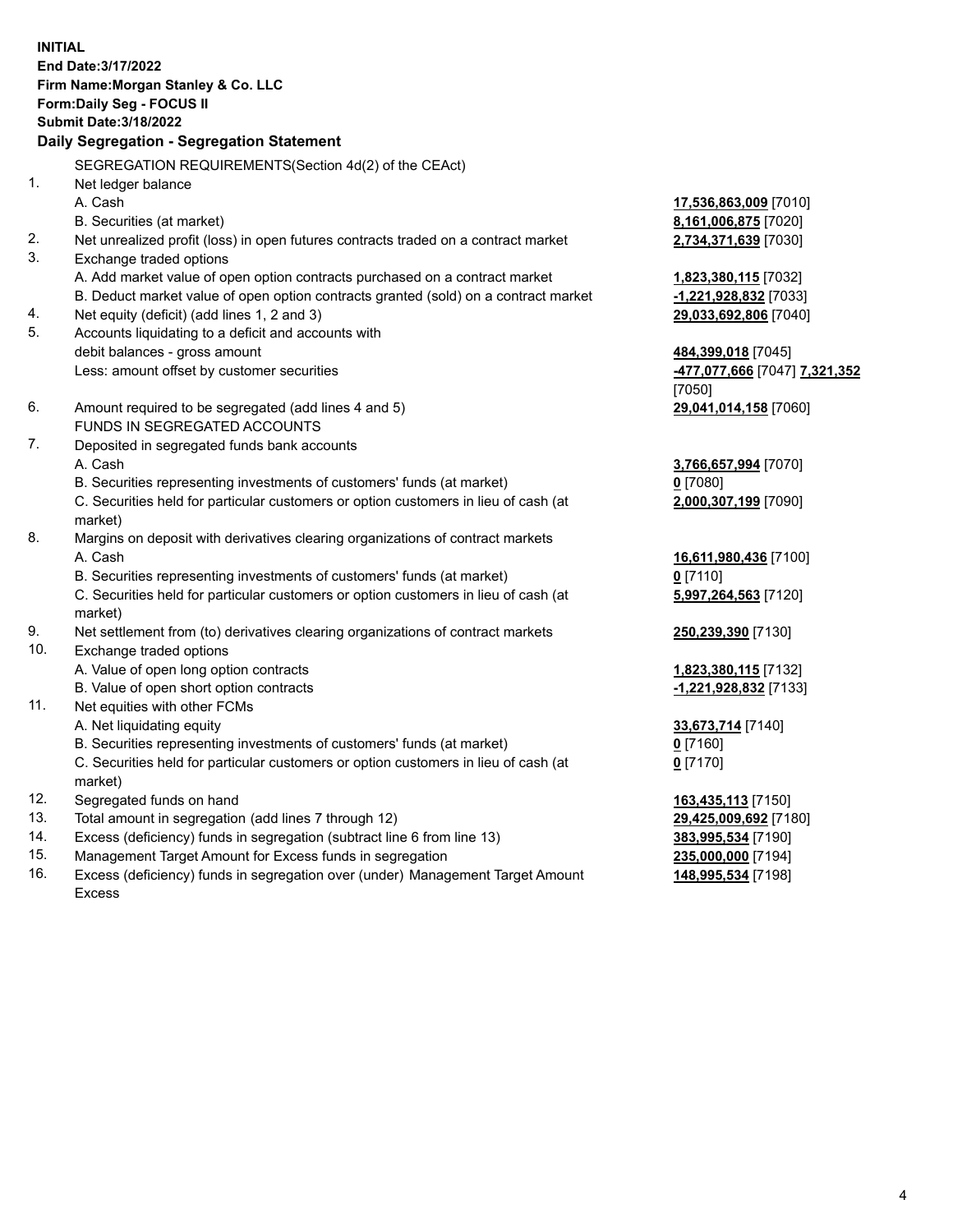**INITIAL End Date:3/17/2022 Firm Name:Morgan Stanley & Co. LLC Form:Daily Seg - FOCUS II Submit Date:3/18/2022 Daily Segregation - Segregation Statement** SEGREGATION REQUIREMENTS(Section 4d(2) of the CEAct) 1. Net ledger balance A. Cash **17,536,863,009** [7010] B. Securities (at market) **8,161,006,875** [7020] 2. Net unrealized profit (loss) in open futures contracts traded on a contract market **2,734,371,639** [7030] 3. Exchange traded options A. Add market value of open option contracts purchased on a contract market **1,823,380,115** [7032] B. Deduct market value of open option contracts granted (sold) on a contract market **-1,221,928,832** [7033] 4. Net equity (deficit) (add lines 1, 2 and 3) **29,033,692,806** [7040] 5. Accounts liquidating to a deficit and accounts with debit balances - gross amount **484,399,018** [7045] Less: amount offset by customer securities **-477,077,666** [7047] **7,321,352** [7050] 6. Amount required to be segregated (add lines 4 and 5) **29,041,014,158** [7060] FUNDS IN SEGREGATED ACCOUNTS 7. Deposited in segregated funds bank accounts A. Cash **3,766,657,994** [7070] B. Securities representing investments of customers' funds (at market) **0** [7080] C. Securities held for particular customers or option customers in lieu of cash (at market) **2,000,307,199** [7090] 8. Margins on deposit with derivatives clearing organizations of contract markets A. Cash **16,611,980,436** [7100] B. Securities representing investments of customers' funds (at market) **0** [7110] C. Securities held for particular customers or option customers in lieu of cash (at market) **5,997,264,563** [7120] 9. Net settlement from (to) derivatives clearing organizations of contract markets **250,239,390** [7130] 10. Exchange traded options A. Value of open long option contracts **1,823,380,115** [7132] B. Value of open short option contracts **-1,221,928,832** [7133] 11. Net equities with other FCMs A. Net liquidating equity **33,673,714** [7140] B. Securities representing investments of customers' funds (at market) **0** [7160] C. Securities held for particular customers or option customers in lieu of cash (at market) **0** [7170] 12. Segregated funds on hand **163,435,113** [7150] 13. Total amount in segregation (add lines 7 through 12) **29,425,009,692** [7180] 14. Excess (deficiency) funds in segregation (subtract line 6 from line 13) **383,995,534** [7190] 15. Management Target Amount for Excess funds in segregation **235,000,000** [7194]

16. Excess (deficiency) funds in segregation over (under) Management Target Amount Excess

**148,995,534** [7198]